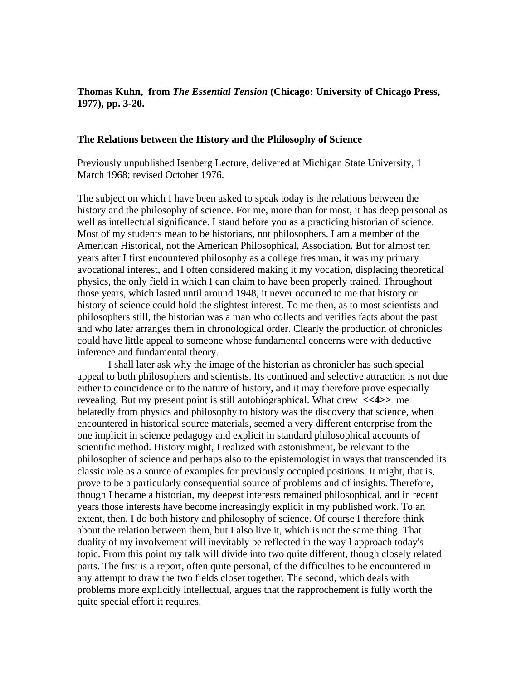## **Thomas Kuhn, from** *The Essential Tension* **(Chicago: University of Chicago Press, 1977), pp. 3-20.**

## **The Relations between the History and the Philosophy of Science**

Previously unpublished Isenberg Lecture, delivered at Michigan State University, 1 March 1968; revised October 1976.

The subject on which I have been asked to speak today is the relations between the history and the philosophy of science. For me, more than for most, it has deep personal as well as intellectual significance. I stand before you as a practicing historian of science. Most of my students mean to be historians, not philosophers. I am a member of the American Historical, not the American Philosophical, Association. But for almost ten years after I first encountered philosophy as a college freshman, it was my primary avocational interest, and I often considered making it my vocation, displacing theoretical physics, the only field in which I can claim to have been properly trained. Throughout those years, which lasted until around 1948, it never occurred to me that history or history of science could hold the slightest interest. To me then, as to most scientists and philosophers still, the historian was a man who collects and verifies facts about the past and who later arranges them in chronological order. Clearly the production of chronicles could have little appeal to someone whose fundamental concerns were with deductive inference and fundamental theory.

I shall later ask why the image of the historian as chronicler has such special appeal to both philosophers and scientists. Its continued and selective attraction is not due either to coincidence or to the nature of history, and it may therefore prove especially revealing. But my present point is still autobiographical. What drew **<<4>>** me belatedly from physics and philosophy to history was the discovery that science, when encountered in historical source materials, seemed a very different enterprise from the one implicit in science pedagogy and explicit in standard philosophical accounts of scientific method. History might, I realized with astonishment, be relevant to the philosopher of science and perhaps also to the epistemologist in ways that transcended its classic role as a source of examples for previously occupied positions. It might, that is, prove to be a particularly consequential source of problems and of insights. Therefore, though I became a historian, my deepest interests remained philosophical, and in recent years those interests have become increasingly explicit in my published work. To an extent, then, I do both history and philosophy of science. Of course I therefore think about the relation between them, but I also live it, which is not the same thing. That duality of my involvement will inevitably be reflected in the way I approach today's topic. From this point my talk will divide into two quite different, though closely related parts. The first is a report, often quite personal, of the difficulties to be encountered in any attempt to draw the two fields closer together. The second, which deals with problems more explicitly intellectual, argues that the rapprochement is fully worth the quite special effort it requires.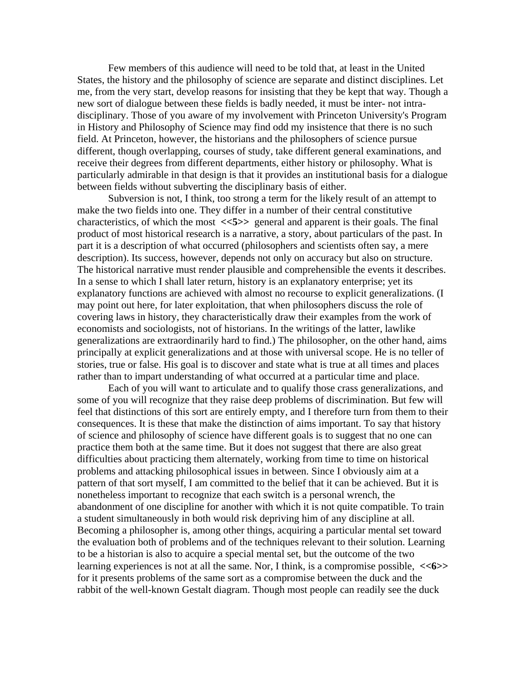Few members of this audience will need to be told that, at least in the United States, the history and the philosophy of science are separate and distinct disciplines. Let me, from the very start, develop reasons for insisting that they be kept that way. Though a new sort of dialogue between these fields is badly needed, it must be inter- not intradisciplinary. Those of you aware of my involvement with Princeton University's Program in History and Philosophy of Science may find odd my insistence that there is no such field. At Princeton, however, the historians and the philosophers of science pursue different, though overlapping, courses of study, take different general examinations, and receive their degrees from different departments, either history or philosophy. What is particularly admirable in that design is that it provides an institutional basis for a dialogue between fields without subverting the disciplinary basis of either.

Subversion is not, I think, too strong a term for the likely result of an attempt to make the two fields into one. They differ in a number of their central constitutive characteristics, of which the most **<<5>>** general and apparent is their goals. The final product of most historical research is a narrative, a story, about particulars of the past. In part it is a description of what occurred (philosophers and scientists often say, a mere description). Its success, however, depends not only on accuracy but also on structure. The historical narrative must render plausible and comprehensible the events it describes. In a sense to which I shall later return, history is an explanatory enterprise; yet its explanatory functions are achieved with almost no recourse to explicit generalizations. (I may point out here, for later exploitation, that when philosophers discuss the role of covering laws in history, they characteristically draw their examples from the work of economists and sociologists, not of historians. In the writings of the latter, lawlike generalizations are extraordinarily hard to find.) The philosopher, on the other hand, aims principally at explicit generalizations and at those with universal scope. He is no teller of stories, true or false. His goal is to discover and state what is true at all times and places rather than to impart understanding of what occurred at a particular time and place.

Each of you will want to articulate and to qualify those crass generalizations, and some of you will recognize that they raise deep problems of discrimination. But few will feel that distinctions of this sort are entirely empty, and I therefore turn from them to their consequences. It is these that make the distinction of aims important. To say that history of science and philosophy of science have different goals is to suggest that no one can practice them both at the same time. But it does not suggest that there are also great difficulties about practicing them alternately, working from time to time on historical problems and attacking philosophical issues in between. Since I obviously aim at a pattern of that sort myself, I am committed to the belief that it can be achieved. But it is nonetheless important to recognize that each switch is a personal wrench, the abandonment of one discipline for another with which it is not quite compatible. To train a student simultaneously in both would risk depriving him of any discipline at all. Becoming a philosopher is, among other things, acquiring a particular mental set toward the evaluation both of problems and of the techniques relevant to their solution. Learning to be a historian is also to acquire a special mental set, but the outcome of the two learning experiences is not at all the same. Nor, I think, is a compromise possible, **<<6>>**  for it presents problems of the same sort as a compromise between the duck and the rabbit of the well-known Gestalt diagram. Though most people can readily see the duck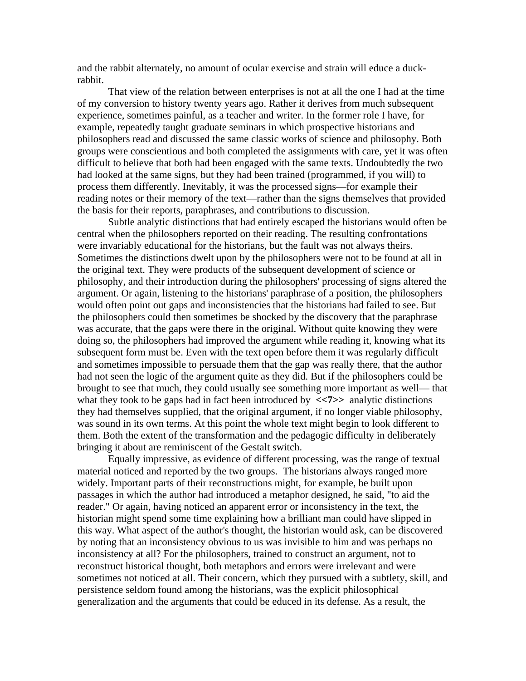and the rabbit alternately, no amount of ocular exercise and strain will educe a duckrabbit.

That view of the relation between enterprises is not at all the one I had at the time of my conversion to history twenty years ago. Rather it derives from much subsequent experience, sometimes painful, as a teacher and writer. In the former role I have, for example, repeatedly taught graduate seminars in which prospective historians and philosophers read and discussed the same classic works of science and philosophy. Both groups were conscientious and both completed the assignments with care, yet it was often difficult to believe that both had been engaged with the same texts. Undoubtedly the two had looked at the same signs, but they had been trained (programmed, if you will) to process them differently. Inevitably, it was the processed signs—for example their reading notes or their memory of the text—rather than the signs themselves that provided the basis for their reports, paraphrases, and contributions to discussion.

Subtle analytic distinctions that had entirely escaped the historians would often be central when the philosophers reported on their reading. The resulting confrontations were invariably educational for the historians, but the fault was not always theirs. Sometimes the distinctions dwelt upon by the philosophers were not to be found at all in the original text. They were products of the subsequent development of science or philosophy, and their introduction during the philosophers' processing of signs altered the argument. Or again, listening to the historians' paraphrase of a position, the philosophers would often point out gaps and inconsistencies that the historians had failed to see. But the philosophers could then sometimes be shocked by the discovery that the paraphrase was accurate, that the gaps were there in the original. Without quite knowing they were doing so, the philosophers had improved the argument while reading it, knowing what its subsequent form must be. Even with the text open before them it was regularly difficult and sometimes impossible to persuade them that the gap was really there, that the author had not seen the logic of the argument quite as they did. But if the philosophers could be brought to see that much, they could usually see something more important as well— that what they took to be gaps had in fact been introduced by  $\langle \langle 7 \rangle \rangle$  analytic distinctions they had themselves supplied, that the original argument, if no longer viable philosophy, was sound in its own terms. At this point the whole text might begin to look different to them. Both the extent of the transformation and the pedagogic difficulty in deliberately bringing it about are reminiscent of the Gestalt switch.

Equally impressive, as evidence of different processing, was the range of textual material noticed and reported by the two groups. The historians always ranged more widely. Important parts of their reconstructions might, for example, be built upon passages in which the author had introduced a metaphor designed, he said, "to aid the reader." Or again, having noticed an apparent error or inconsistency in the text, the historian might spend some time explaining how a brilliant man could have slipped in this way. What aspect of the author's thought, the historian would ask, can be discovered by noting that an inconsistency obvious to us was invisible to him and was perhaps no inconsistency at all? For the philosophers, trained to construct an argument, not to reconstruct historical thought, both metaphors and errors were irrelevant and were sometimes not noticed at all. Their concern, which they pursued with a subtlety, skill, and persistence seldom found among the historians, was the explicit philosophical generalization and the arguments that could be educed in its defense. As a result, the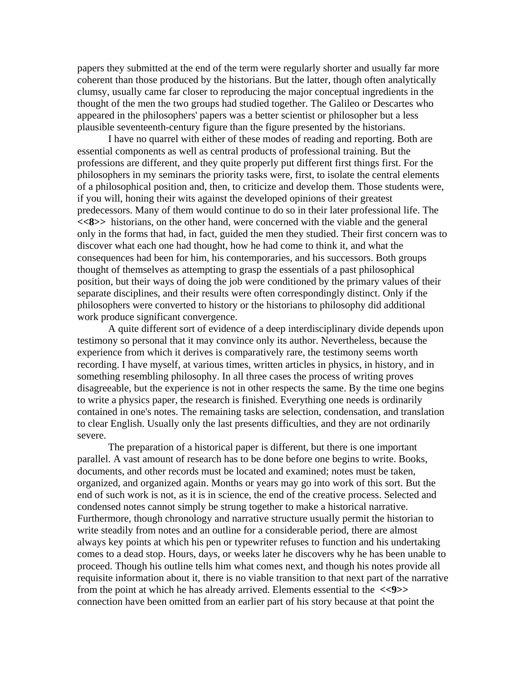papers they submitted at the end of the term were regularly shorter and usually far more coherent than those produced by the historians. But the latter, though often analytically clumsy, usually came far closer to reproducing the major conceptual ingredients in the thought of the men the two groups had studied together. The Galileo or Descartes who appeared in the philosophers' papers was a better scientist or philosopher but a less plausible seventeenth-century figure than the figure presented by the historians.

I have no quarrel with either of these modes of reading and reporting. Both are essential components as well as central products of professional training. But the professions are different, and they quite properly put different first things first. For the philosophers in my seminars the priority tasks were, first, to isolate the central elements of a philosophical position and, then, to criticize and develop them. Those students were, if you will, honing their wits against the developed opinions of their greatest predecessors. Many of them would continue to do so in their later professional life. The **<<8>>** historians, on the other hand, were concerned with the viable and the general only in the forms that had, in fact, guided the men they studied. Their first concern was to discover what each one had thought, how he had come to think it, and what the consequences had been for him, his contemporaries, and his successors. Both groups thought of themselves as attempting to grasp the essentials of a past philosophical position, but their ways of doing the job were conditioned by the primary values of their separate disciplines, and their results were often correspondingly distinct. Only if the philosophers were converted to history or the historians to philosophy did additional work produce significant convergence.

A quite different sort of evidence of a deep interdisciplinary divide depends upon testimony so personal that it may convince only its author. Nevertheless, because the experience from which it derives is comparatively rare, the testimony seems worth recording. I have myself, at various times, written articles in physics, in history, and in something resembling philosophy. In all three cases the process of writing proves disagreeable, but the experience is not in other respects the same. By the time one begins to write a physics paper, the research is finished. Everything one needs is ordinarily contained in one's notes. The remaining tasks are selection, condensation, and translation to clear English. Usually only the last presents difficulties, and they are not ordinarily severe.

The preparation of a historical paper is different, but there is one important parallel. A vast amount of research has to be done before one begins to write. Books, documents, and other records must be located and examined; notes must be taken, organized, and organized again. Months or years may go into work of this sort. But the end of such work is not, as it is in science, the end of the creative process. Selected and condensed notes cannot simply be strung together to make a historical narrative. Furthermore, though chronology and narrative structure usually permit the historian to write steadily from notes and an outline for a considerable period, there are almost always key points at which his pen or typewriter refuses to function and his undertaking comes to a dead stop. Hours, days, or weeks later he discovers why he has been unable to proceed. Though his outline tells him what comes next, and though his notes provide all requisite information about it, there is no viable transition to that next part of the narrative from the point at which he has already arrived. Elements essential to the **<<9>>**  connection have been omitted from an earlier part of his story because at that point the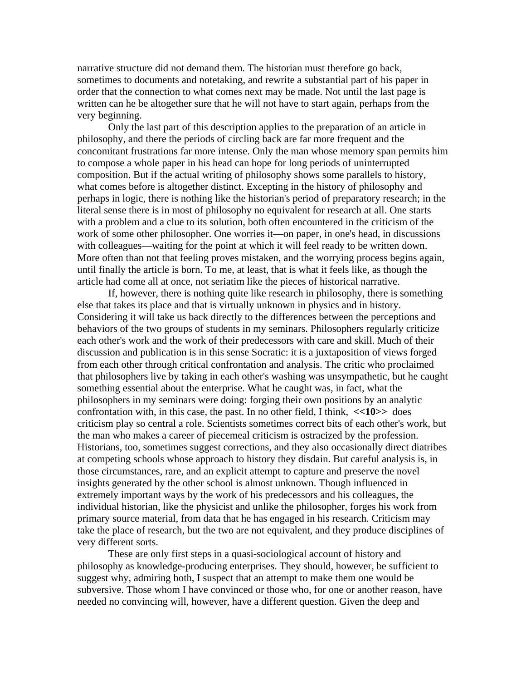narrative structure did not demand them. The historian must therefore go back, sometimes to documents and notetaking, and rewrite a substantial part of his paper in order that the connection to what comes next may be made. Not until the last page is written can he be altogether sure that he will not have to start again, perhaps from the very beginning.

Only the last part of this description applies to the preparation of an article in philosophy, and there the periods of circling back are far more frequent and the concomitant frustrations far more intense. Only the man whose memory span permits him to compose a whole paper in his head can hope for long periods of uninterrupted composition. But if the actual writing of philosophy shows some parallels to history, what comes before is altogether distinct. Excepting in the history of philosophy and perhaps in logic, there is nothing like the historian's period of preparatory research; in the literal sense there is in most of philosophy no equivalent for research at all. One starts with a problem and a clue to its solution, both often encountered in the criticism of the work of some other philosopher. One worries it—on paper, in one's head, in discussions with colleagues—waiting for the point at which it will feel ready to be written down. More often than not that feeling proves mistaken, and the worrying process begins again, until finally the article is born. To me, at least, that is what it feels like, as though the article had come all at once, not seriatim like the pieces of historical narrative.

If, however, there is nothing quite like research in philosophy, there is something else that takes its place and that is virtually unknown in physics and in history. Considering it will take us back directly to the differences between the perceptions and behaviors of the two groups of students in my seminars. Philosophers regularly criticize each other's work and the work of their predecessors with care and skill. Much of their discussion and publication is in this sense Socratic: it is a juxtaposition of views forged from each other through critical confrontation and analysis. The critic who proclaimed that philosophers live by taking in each other's washing was unsympathetic, but he caught something essential about the enterprise. What he caught was, in fact, what the philosophers in my seminars were doing: forging their own positions by an analytic confrontation with, in this case, the past. In no other field, I think, **<<10>>** does criticism play so central a role. Scientists sometimes correct bits of each other's work, but the man who makes a career of piecemeal criticism is ostracized by the profession. Historians, too, sometimes suggest corrections, and they also occasionally direct diatribes at competing schools whose approach to history they disdain. But careful analysis is, in those circumstances, rare, and an explicit attempt to capture and preserve the novel insights generated by the other school is almost unknown. Though influenced in extremely important ways by the work of his predecessors and his colleagues, the individual historian, like the physicist and unlike the philosopher, forges his work from primary source material, from data that he has engaged in his research. Criticism may take the place of research, but the two are not equivalent, and they produce disciplines of very different sorts.

These are only first steps in a quasi-sociological account of history and philosophy as knowledge-producing enterprises. They should, however, be sufficient to suggest why, admiring both, I suspect that an attempt to make them one would be subversive. Those whom I have convinced or those who, for one or another reason, have needed no convincing will, however, have a different question. Given the deep and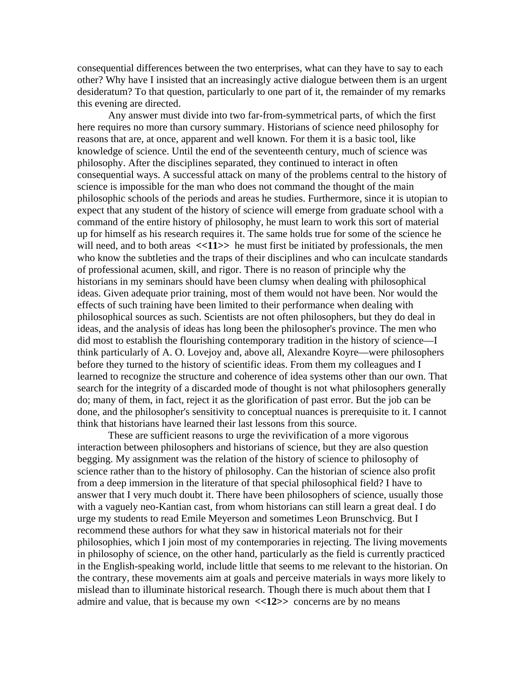consequential differences between the two enterprises, what can they have to say to each other? Why have I insisted that an increasingly active dialogue between them is an urgent desideratum? To that question, particularly to one part of it, the remainder of my remarks this evening are directed.

Any answer must divide into two far-from-symmetrical parts, of which the first here requires no more than cursory summary. Historians of science need philosophy for reasons that are, at once, apparent and well known. For them it is a basic tool, like knowledge of science. Until the end of the seventeenth century, much of science was philosophy. After the disciplines separated, they continued to interact in often consequential ways. A successful attack on many of the problems central to the history of science is impossible for the man who does not command the thought of the main philosophic schools of the periods and areas he studies. Furthermore, since it is utopian to expect that any student of the history of science will emerge from graduate school with a command of the entire history of philosophy, he must learn to work this sort of material up for himself as his research requires it. The same holds true for some of the science he will need, and to both areas  $\langle$ 11>> he must first be initiated by professionals, the men who know the subtleties and the traps of their disciplines and who can inculcate standards of professional acumen, skill, and rigor. There is no reason of principle why the historians in my seminars should have been clumsy when dealing with philosophical ideas. Given adequate prior training, most of them would not have been. Nor would the effects of such training have been limited to their performance when dealing with philosophical sources as such. Scientists are not often philosophers, but they do deal in ideas, and the analysis of ideas has long been the philosopher's province. The men who did most to establish the flourishing contemporary tradition in the history of science—I think particularly of A. O. Lovejoy and, above all, Alexandre Koyre—were philosophers before they turned to the history of scientific ideas. From them my colleagues and I learned to recognize the structure and coherence of idea systems other than our own. That search for the integrity of a discarded mode of thought is not what philosophers generally do; many of them, in fact, reject it as the glorification of past error. But the job can be done, and the philosopher's sensitivity to conceptual nuances is prerequisite to it. I cannot think that historians have learned their last lessons from this source.

These are sufficient reasons to urge the revivification of a more vigorous interaction between philosophers and historians of science, but they are also question begging. My assignment was the relation of the history of science to philosophy of science rather than to the history of philosophy. Can the historian of science also profit from a deep immersion in the literature of that special philosophical field? I have to answer that I very much doubt it. There have been philosophers of science, usually those with a vaguely neo-Kantian cast, from whom historians can still learn a great deal. I do urge my students to read Emile Meyerson and sometimes Leon Brunschvicg. But I recommend these authors for what they saw in historical materials not for their philosophies, which I join most of my contemporaries in rejecting. The living movements in philosophy of science, on the other hand, particularly as the field is currently practiced in the English-speaking world, include little that seems to me relevant to the historian. On the contrary, these movements aim at goals and perceive materials in ways more likely to mislead than to illuminate historical research. Though there is much about them that I admire and value, that is because my own **<<12>>** concerns are by no means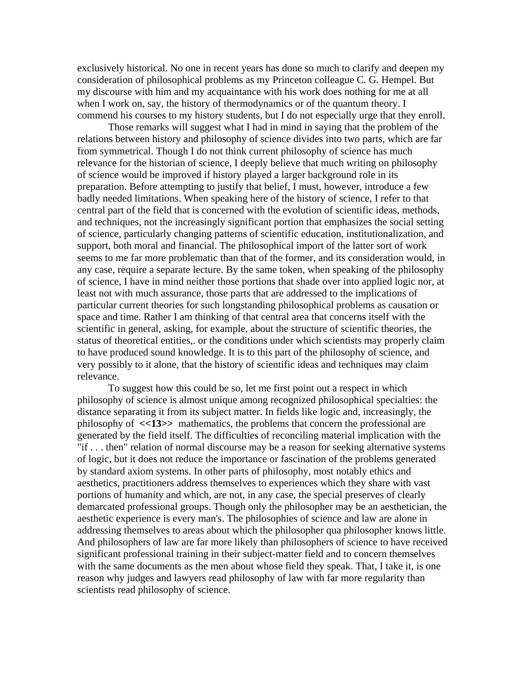exclusively historical. No one in recent years has done so much to clarify and deepen my consideration of philosophical problems as my Princeton colleague C. G. Hempel. But my discourse with him and my acquaintance with his work does nothing for me at all when I work on, say, the history of thermodynamics or of the quantum theory. I commend his courses to my history students, but I do not especially urge that they enroll.

Those remarks will suggest what I had in mind in saying that the problem of the relations between history and philosophy of science divides into two parts, which are far from symmetrical. Though I do not think current philosophy of science has much relevance for the historian of science, I deeply believe that much writing on philosophy of science would be improved if history played a larger background role in its preparation. Before attempting to justify that belief, I must, however, introduce a few badly needed limitations. When speaking here of the history of science, I refer to that central part of the field that is concerned with the evolution of scientific ideas, methods, and techniques, not the increasingly significant portion that emphasizes the social setting of science, particularly changing patterns of scientific education, institutionalization, and support, both moral and financial. The philosophical import of the latter sort of work seems to me far more problematic than that of the former, and its consideration would, in any case, require a separate lecture. By the same token, when speaking of the philosophy of science, I have in mind neither those portions that shade over into applied logic nor, at least not with much assurance, those parts that are addressed to the implications of particular current theories for such longstanding philosophical problems as causation or space and time. Rather I am thinking of that central area that concerns itself with the scientific in general, asking, for example, about the structure of scientific theories, the status of theoretical entities,. or the conditions under which scientists may properly claim to have produced sound knowledge. It is to this part of the philosophy of science, and very possibly to it alone, that the history of scientific ideas and techniques may claim relevance.

To suggest how this could be so, let me first point out a respect in which philosophy of science is almost unique among recognized philosophical specialties: the distance separating it from its subject matter. In fields like logic and, increasingly, the philosophy of **<<13>>** mathematics, the problems that concern the professional are generated by the field itself. The difficulties of reconciling material implication with the "if . . . then" relation of normal discourse may be a reason for seeking alternative systems of logic, but it does not reduce the importance or fascination of the problems generated by standard axiom systems. In other parts of philosophy, most notably ethics and aesthetics, practitioners address themselves to experiences which they share with vast portions of humanity and which, are not, in any case, the special preserves of clearly demarcated professional groups. Though only the philosopher may be an aesthetician, the aesthetic experience is every man's. The philosophies of science and law are alone in addressing themselves to areas about which the philosopher qua philosopher knows little. And philosophers of law are far more likely than philosophers of science to have received significant professional training in their subject-matter field and to concern themselves with the same documents as the men about whose field they speak. That, I take it, is one reason why judges and lawyers read philosophy of law with far more regularity than scientists read philosophy of science.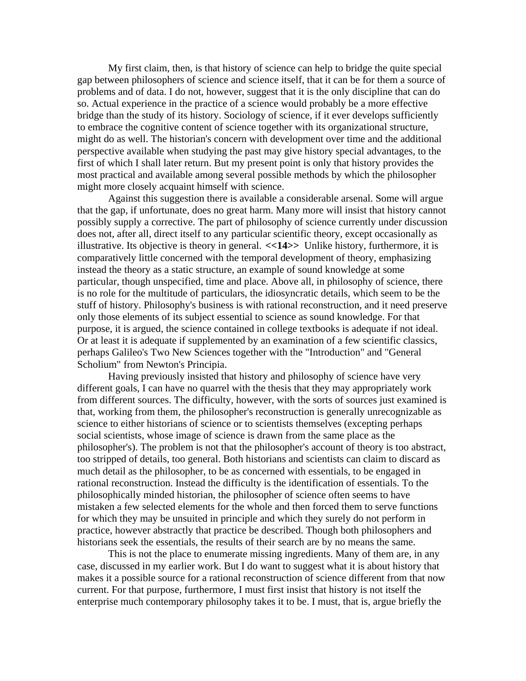My first claim, then, is that history of science can help to bridge the quite special gap between philosophers of science and science itself, that it can be for them a source of problems and of data. I do not, however, suggest that it is the only discipline that can do so. Actual experience in the practice of a science would probably be a more effective bridge than the study of its history. Sociology of science, if it ever develops sufficiently to embrace the cognitive content of science together with its organizational structure, might do as well. The historian's concern with development over time and the additional perspective available when studying the past may give history special advantages, to the first of which I shall later return. But my present point is only that history provides the most practical and available among several possible methods by which the philosopher might more closely acquaint himself with science.

Against this suggestion there is available a considerable arsenal. Some will argue that the gap, if unfortunate, does no great harm. Many more will insist that history cannot possibly supply a corrective. The part of philosophy of science currently under discussion does not, after all, direct itself to any particular scientific theory, except occasionally as illustrative. Its objective is theory in general. **<<14>>** Unlike history, furthermore, it is comparatively little concerned with the temporal development of theory, emphasizing instead the theory as a static structure, an example of sound knowledge at some particular, though unspecified, time and place. Above all, in philosophy of science, there is no role for the multitude of particulars, the idiosyncratic details, which seem to be the stuff of history. Philosophy's business is with rational reconstruction, and it need preserve only those elements of its subject essential to science as sound knowledge. For that purpose, it is argued, the science contained in college textbooks is adequate if not ideal. Or at least it is adequate if supplemented by an examination of a few scientific classics, perhaps Galileo's Two New Sciences together with the "Introduction" and "General Scholium" from Newton's Principia.

Having previously insisted that history and philosophy of science have very different goals, I can have no quarrel with the thesis that they may appropriately work from different sources. The difficulty, however, with the sorts of sources just examined is that, working from them, the philosopher's reconstruction is generally unrecognizable as science to either historians of science or to scientists themselves (excepting perhaps social scientists, whose image of science is drawn from the same place as the philosopher's). The problem is not that the philosopher's account of theory is too abstract, too stripped of details, too general. Both historians and scientists can claim to discard as much detail as the philosopher, to be as concerned with essentials, to be engaged in rational reconstruction. Instead the difficulty is the identification of essentials. To the philosophically minded historian, the philosopher of science often seems to have mistaken a few selected elements for the whole and then forced them to serve functions for which they may be unsuited in principle and which they surely do not perform in practice, however abstractly that practice be described. Though both philosophers and historians seek the essentials, the results of their search are by no means the same.

This is not the place to enumerate missing ingredients. Many of them are, in any case, discussed in my earlier work. But I do want to suggest what it is about history that makes it a possible source for a rational reconstruction of science different from that now current. For that purpose, furthermore, I must first insist that history is not itself the enterprise much contemporary philosophy takes it to be. I must, that is, argue briefly the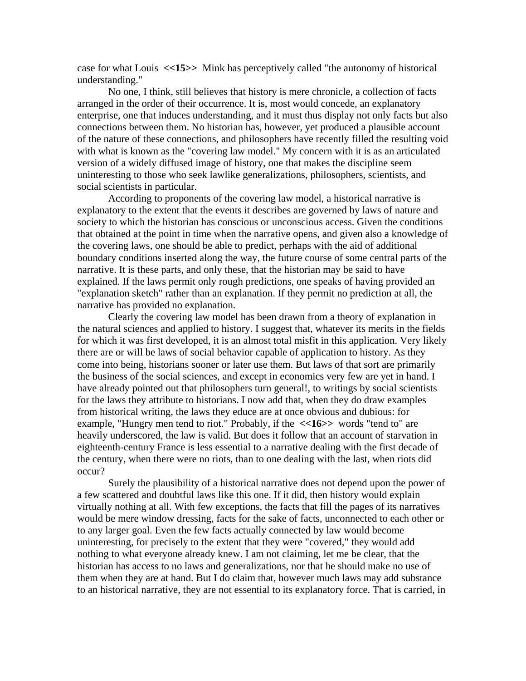case for what Louis **<<15>>** Mink has perceptively called "the autonomy of historical understanding."

No one, I think, still believes that history is mere chronicle, a collection of facts arranged in the order of their occurrence. It is, most would concede, an explanatory enterprise, one that induces understanding, and it must thus display not only facts but also connections between them. No historian has, however, yet produced a plausible account of the nature of these connections, and philosophers have recently filled the resulting void with what is known as the "covering law model." My concern with it is as an articulated version of a widely diffused image of history, one that makes the discipline seem uninteresting to those who seek lawlike generalizations, philosophers, scientists, and social scientists in particular.

According to proponents of the covering law model, a historical narrative is explanatory to the extent that the events it describes are governed by laws of nature and society to which the historian has conscious or unconscious access. Given the conditions that obtained at the point in time when the narrative opens, and given also a knowledge of the covering laws, one should be able to predict, perhaps with the aid of additional boundary conditions inserted along the way, the future course of some central parts of the narrative. It is these parts, and only these, that the historian may be said to have explained. If the laws permit only rough predictions, one speaks of having provided an "explanation sketch" rather than an explanation. If they permit no prediction at all, the narrative has provided no explanation.

Clearly the covering law model has been drawn from a theory of explanation in the natural sciences and applied to history. I suggest that, whatever its merits in the fields for which it was first developed, it is an almost total misfit in this application. Very likely there are or will be laws of social behavior capable of application to history. As they come into being, historians sooner or later use them. But laws of that sort are primarily the business of the social sciences, and except in economics very few are yet in hand. I have already pointed out that philosophers turn general!, to writings by social scientists for the laws they attribute to historians. I now add that, when they do draw examples from historical writing, the laws they educe are at once obvious and dubious: for example, "Hungry men tend to riot." Probably, if the  $\langle$ 16>> words "tend to" are heavily underscored, the law is valid. But does it follow that an account of starvation in eighteenth-century France is less essential to a narrative dealing with the first decade of the century, when there were no riots, than to one dealing with the last, when riots did occur?

Surely the plausibility of a historical narrative does not depend upon the power of a few scattered and doubtful laws like this one. If it did, then history would explain virtually nothing at all. With few exceptions, the facts that fill the pages of its narratives would be mere window dressing, facts for the sake of facts, unconnected to each other or to any larger goal. Even the few facts actually connected by law would become uninteresting, for precisely to the extent that they were "covered," they would add nothing to what everyone already knew. I am not claiming, let me be clear, that the historian has access to no laws and generalizations, nor that he should make no use of them when they are at hand. But I do claim that, however much laws may add substance to an historical narrative, they are not essential to its explanatory force. That is carried, in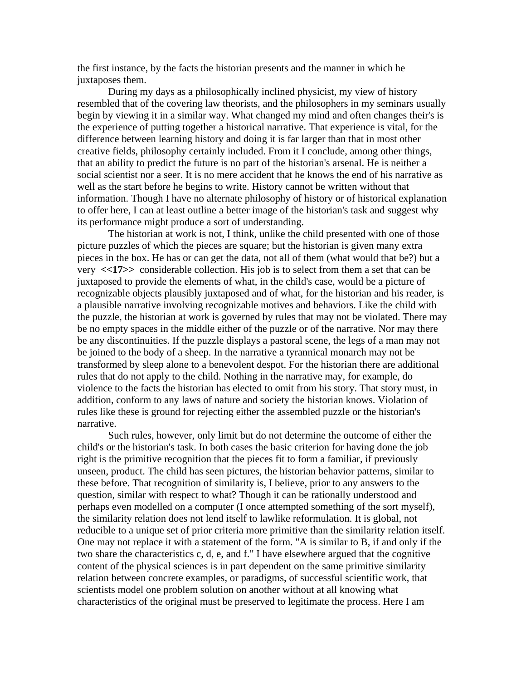the first instance, by the facts the historian presents and the manner in which he juxtaposes them.

During my days as a philosophically inclined physicist, my view of history resembled that of the covering law theorists, and the philosophers in my seminars usually begin by viewing it in a similar way. What changed my mind and often changes their's is the experience of putting together a historical narrative. That experience is vital, for the difference between learning history and doing it is far larger than that in most other creative fields, philosophy certainly included. From it I conclude, among other things, that an ability to predict the future is no part of the historian's arsenal. He is neither a social scientist nor a seer. It is no mere accident that he knows the end of his narrative as well as the start before he begins to write. History cannot be written without that information. Though I have no alternate philosophy of history or of historical explanation to offer here, I can at least outline a better image of the historian's task and suggest why its performance might produce a sort of understanding.

The historian at work is not, I think, unlike the child presented with one of those picture puzzles of which the pieces are square; but the historian is given many extra pieces in the box. He has or can get the data, not all of them (what would that be?) but a very **<<17>>** considerable collection. His job is to select from them a set that can be juxtaposed to provide the elements of what, in the child's case, would be a picture of recognizable objects plausibly juxtaposed and of what, for the historian and his reader, is a plausible narrative involving recognizable motives and behaviors. Like the child with the puzzle, the historian at work is governed by rules that may not be violated. There may be no empty spaces in the middle either of the puzzle or of the narrative. Nor may there be any discontinuities. If the puzzle displays a pastoral scene, the legs of a man may not be joined to the body of a sheep. In the narrative a tyrannical monarch may not be transformed by sleep alone to a benevolent despot. For the historian there are additional rules that do not apply to the child. Nothing in the narrative may, for example, do violence to the facts the historian has elected to omit from his story. That story must, in addition, conform to any laws of nature and society the historian knows. Violation of rules like these is ground for rejecting either the assembled puzzle or the historian's narrative.

Such rules, however, only limit but do not determine the outcome of either the child's or the historian's task. In both cases the basic criterion for having done the job right is the primitive recognition that the pieces fit to form a familiar, if previously unseen, product. The child has seen pictures, the historian behavior patterns, similar to these before. That recognition of similarity is, I believe, prior to any answers to the question, similar with respect to what? Though it can be rationally understood and perhaps even modelled on a computer (I once attempted something of the sort myself), the similarity relation does not lend itself to lawlike reformulation. It is global, not reducible to a unique set of prior criteria more primitive than the similarity relation itself. One may not replace it with a statement of the form. "A is similar to B, if and only if the two share the characteristics c, d, e, and f." I have elsewhere argued that the cognitive content of the physical sciences is in part dependent on the same primitive similarity relation between concrete examples, or paradigms, of successful scientific work, that scientists model one problem solution on another without at all knowing what characteristics of the original must be preserved to legitimate the process. Here I am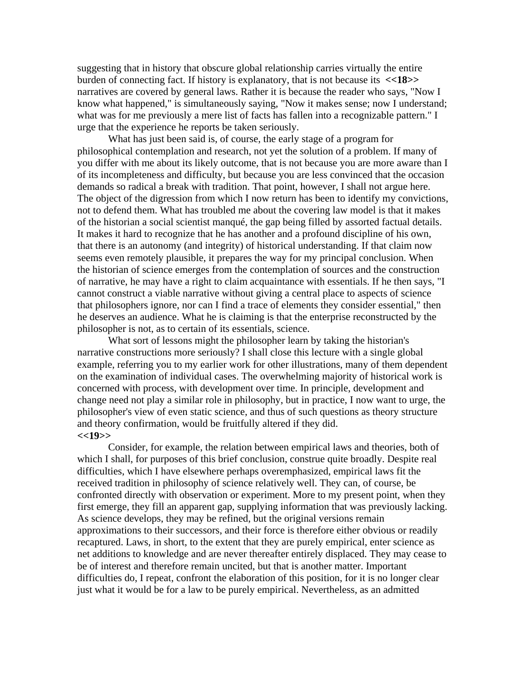suggesting that in history that obscure global relationship carries virtually the entire burden of connecting fact. If history is explanatory, that is not because its **<<18>>**  narratives are covered by general laws. Rather it is because the reader who says, "Now I know what happened," is simultaneously saying, "Now it makes sense; now I understand; what was for me previously a mere list of facts has fallen into a recognizable pattern." I urge that the experience he reports be taken seriously.

What has just been said is, of course, the early stage of a program for philosophical contemplation and research, not yet the solution of a problem. If many of you differ with me about its likely outcome, that is not because you are more aware than I of its incompleteness and difficulty, but because you are less convinced that the occasion demands so radical a break with tradition. That point, however, I shall not argue here. The object of the digression from which I now return has been to identify my convictions, not to defend them. What has troubled me about the covering law model is that it makes of the historian a social scientist manqué, the gap being filled by assorted factual details. It makes it hard to recognize that he has another and a profound discipline of his own, that there is an autonomy (and integrity) of historical understanding. If that claim now seems even remotely plausible, it prepares the way for my principal conclusion. When the historian of science emerges from the contemplation of sources and the construction of narrative, he may have a right to claim acquaintance with essentials. If he then says, "I cannot construct a viable narrative without giving a central place to aspects of science that philosophers ignore, nor can I find a trace of elements they consider essential," then he deserves an audience. What he is claiming is that the enterprise reconstructed by the philosopher is not, as to certain of its essentials, science.

What sort of lessons might the philosopher learn by taking the historian's narrative constructions more seriously? I shall close this lecture with a single global example, referring you to my earlier work for other illustrations, many of them dependent on the examination of individual cases. The overwhelming majority of historical work is concerned with process, with development over time. In principle, development and change need not play a similar role in philosophy, but in practice, I now want to urge, the philosopher's view of even static science, and thus of such questions as theory structure and theory confirmation, would be fruitfully altered if they did. **<<19>>** 

Consider, for example, the relation between empirical laws and theories, both of which I shall, for purposes of this brief conclusion, construe quite broadly. Despite real difficulties, which I have elsewhere perhaps overemphasized, empirical laws fit the received tradition in philosophy of science relatively well. They can, of course, be confronted directly with observation or experiment. More to my present point, when they first emerge, they fill an apparent gap, supplying information that was previously lacking. As science develops, they may be refined, but the original versions remain approximations to their successors, and their force is therefore either obvious or readily recaptured. Laws, in short, to the extent that they are purely empirical, enter science as net additions to knowledge and are never thereafter entirely displaced. They may cease to be of interest and therefore remain uncited, but that is another matter. Important difficulties do, I repeat, confront the elaboration of this position, for it is no longer clear just what it would be for a law to be purely empirical. Nevertheless, as an admitted